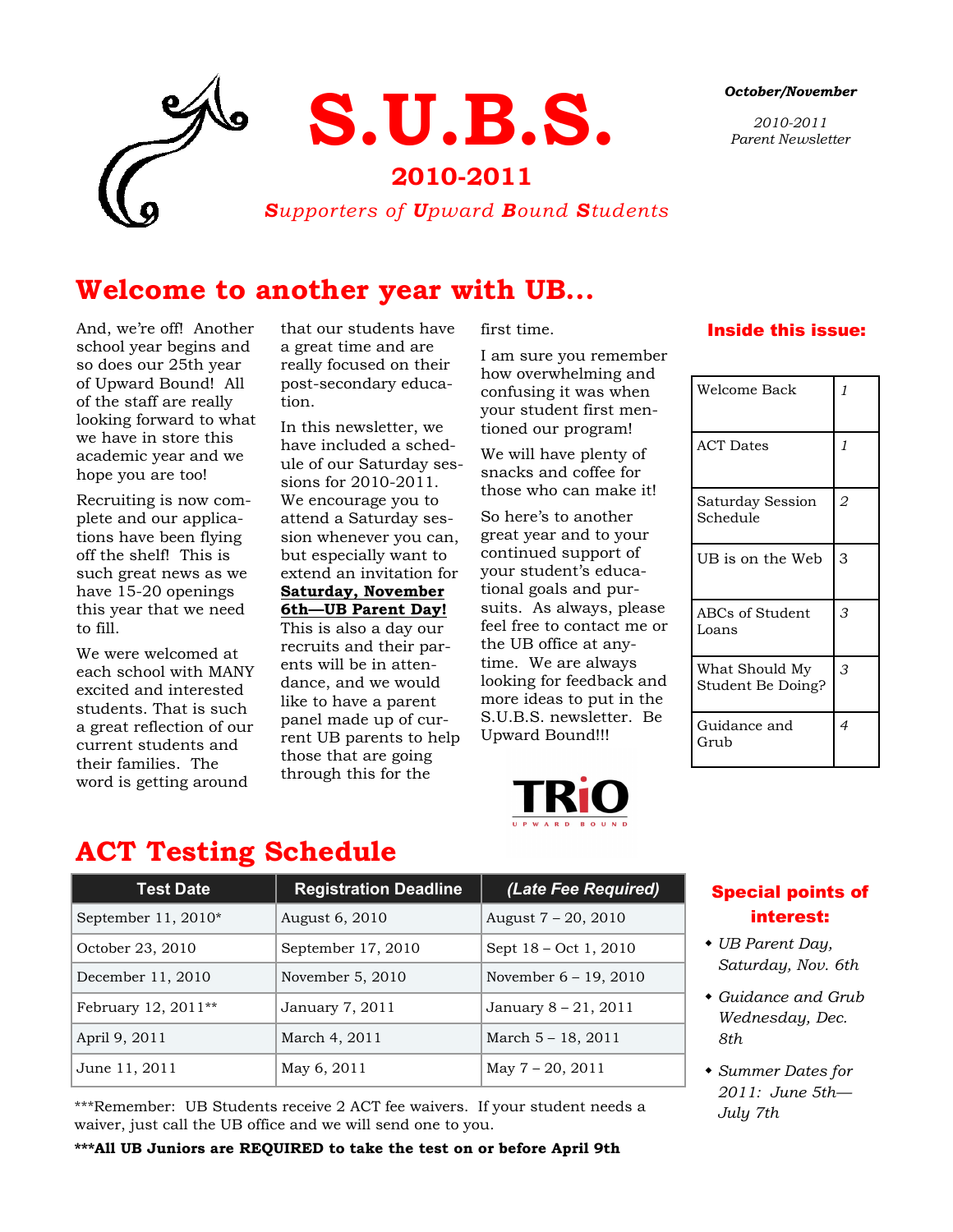

#### *October/November*

*2010-2011 Parent Newsletter*

### **Welcome to another year with UB...**

And, we're off! Another school year begins and so does our 25th year of Upward Bound! All of the staff are really looking forward to what we have in store this academic year and we hope you are too!

Recruiting is now complete and our applications have been flying off the shelf! This is such great news as we have 15-20 openings this year that we need to fill.

We were welcomed at each school with MANY excited and interested students. That is such a great reflection of our current students and their families. The word is getting around

that our students have a great time and are really focused on their post-secondary education.

In this newsletter, we have included a schedule of our Saturday sessions for 2010-2011. We encourage you to attend a Saturday session whenever you can, but especially want to extend an invitation for **Saturday, November 6th—UB Parent Day!** 

This is also a day our recruits and their parents will be in attendance, and we would like to have a parent panel made up of current UB parents to help those that are going through this for the

first time.

I am sure you remember how overwhelming and confusing it was when your student first mentioned our program!

We will have plenty of snacks and coffee for those who can make it!

So here's to another great year and to your continued support of your student's educational goals and pursuits. As always, please feel free to contact me or the UB office at anytime. We are always looking for feedback and more ideas to put in the S.U.B.S. newsletter. Be Upward Bound!!!



#### Inside this issue:

| Welcome Back                        | $\mathcal I$   |
|-------------------------------------|----------------|
| <b>ACT Dates</b>                    | 1              |
| Saturday Session<br>Schedule        | 2              |
| UB is on the Web                    | 3              |
| ABCs of Student<br>Loans            | 3              |
| What Should My<br>Student Be Doing? | 3              |
| Guidance and<br>Grub                | $\overline{4}$ |

### **ACT Testing Schedule**

| <b>Test Date</b>     | <b>Registration Deadline</b> | (Late Fee Required)      |
|----------------------|------------------------------|--------------------------|
| September $11,2010*$ | August 6, 2010               | August $7 - 20$ , $2010$ |
| October 23, 2010     | September 17, 2010           | Sept 18 - Oct 1, 2010    |
| December 11, 2010    | November 5, 2010             | November $6 - 19$ , 2010 |
| February 12, 2011**  | January 7, 2011              | January 8 - 21, 2011     |
| April 9, 2011        | March 4, 2011                | March $5 - 18$ , 2011    |
| June 11, 2011        | May 6, 2011                  | May $7 - 20$ , $2011$    |

\*\*\*Remember: UB Students receive 2 ACT fee waivers. If your student needs a waiver, just call the UB office and we will send one to you.

**\*\*\*All UB Juniors are REQUIRED to take the test on or before April 9th**

### Special points of interest:

- *UB Parent Day, Saturday, Nov. 6th*
- *Guidance and Grub Wednesday, Dec. 8th*
- *Summer Dates for 2011: June 5th— July 7th*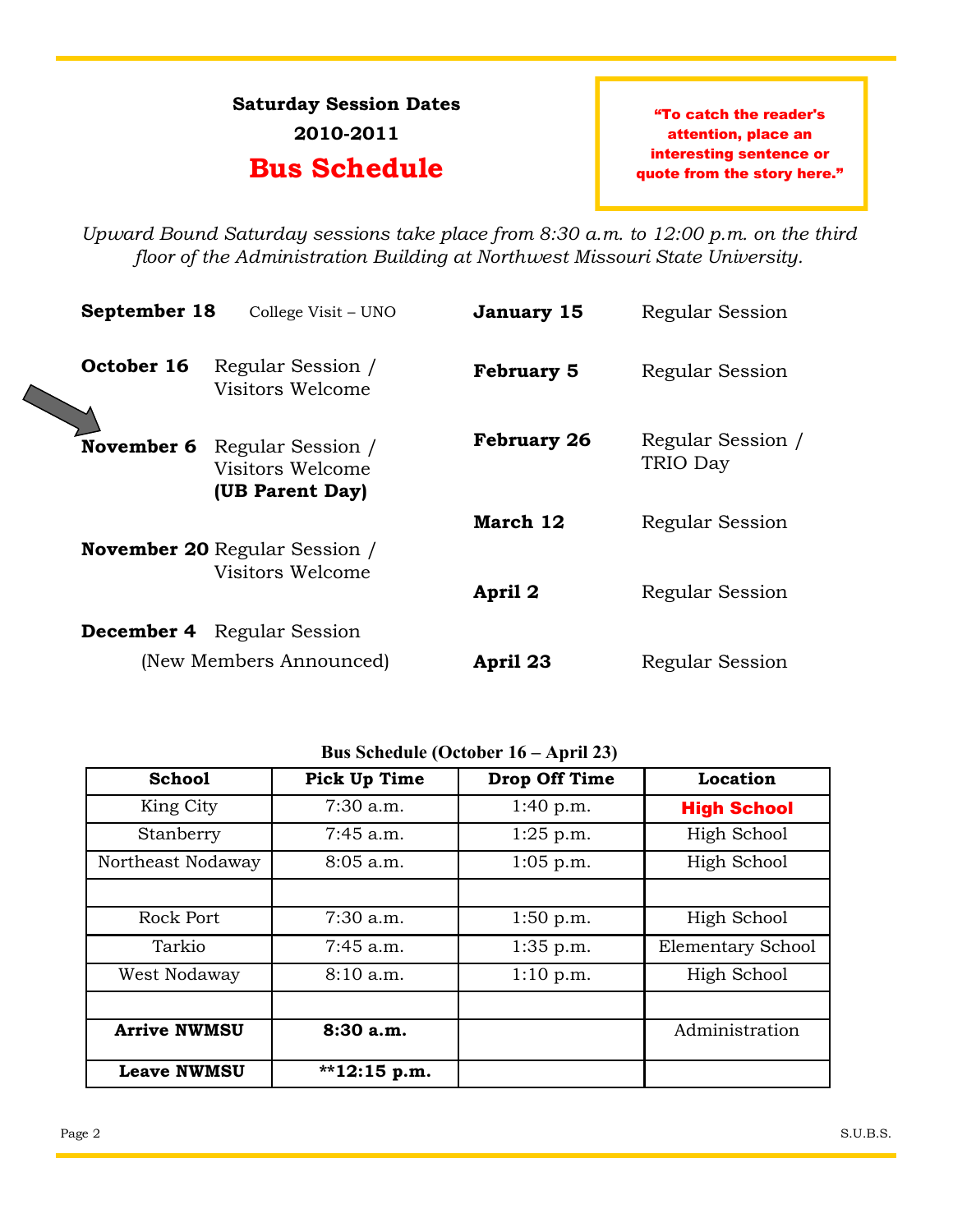## **Saturday Session Dates 2010-2011**

### **Bus Schedule**

"To catch the reader's attention, place an interesting sentence or quote from the story here."

*Upward Bound Saturday sessions take place from 8:30 a.m. to 12:00 p.m. on the third floor of the Administration Building at Northwest Missouri State University.*

| September 18 | College Visit – UNO                                                        | January 15         | Regular Session               |
|--------------|----------------------------------------------------------------------------|--------------------|-------------------------------|
| October 16   | Regular Session /<br>Visitors Welcome                                      | <b>February 5</b>  | Regular Session               |
|              | <b>November 6</b> Regular Session /<br>Visitors Welcome<br>(UB Parent Day) | <b>February 26</b> | Regular Session /<br>TRIO Day |
|              |                                                                            | March 12           | Regular Session               |
|              | <b>November 20 Regular Session /</b><br>Visitors Welcome                   | April 2            | Regular Session               |
| December 4   | Regular Session                                                            |                    |                               |
|              | (New Members Announced)                                                    | April 23           | Regular Session               |
|              |                                                                            |                    |                               |

#### **Bus Schedule (October 16 – April 23)**

| <b>School</b>       | <b>Pick Up Time</b> | <b>Drop Off Time</b> | Location                 |
|---------------------|---------------------|----------------------|--------------------------|
| King City           | $7:30$ a.m.         | 1:40 p.m.            | <b>High School</b>       |
| Stanberry           | $7:45$ a.m.         | $1:25$ p.m.          | High School              |
| Northeast Nodaway   | $8:05$ a.m.         | $1:05$ p.m.          | High School              |
|                     |                     |                      |                          |
| Rock Port           | $7:30$ a.m.         | 1:50 p.m.            | High School              |
| Tarkio              | $7:45$ a.m.         | 1:35 p.m.            | <b>Elementary School</b> |
| West Nodaway        | 8:10a.m.            | 1:10 p.m.            | High School              |
|                     |                     |                      |                          |
| <b>Arrive NWMSU</b> | 8:30a.m.            |                      | Administration           |
| <b>Leave NWMSU</b>  | $*12:15 p.m.$       |                      |                          |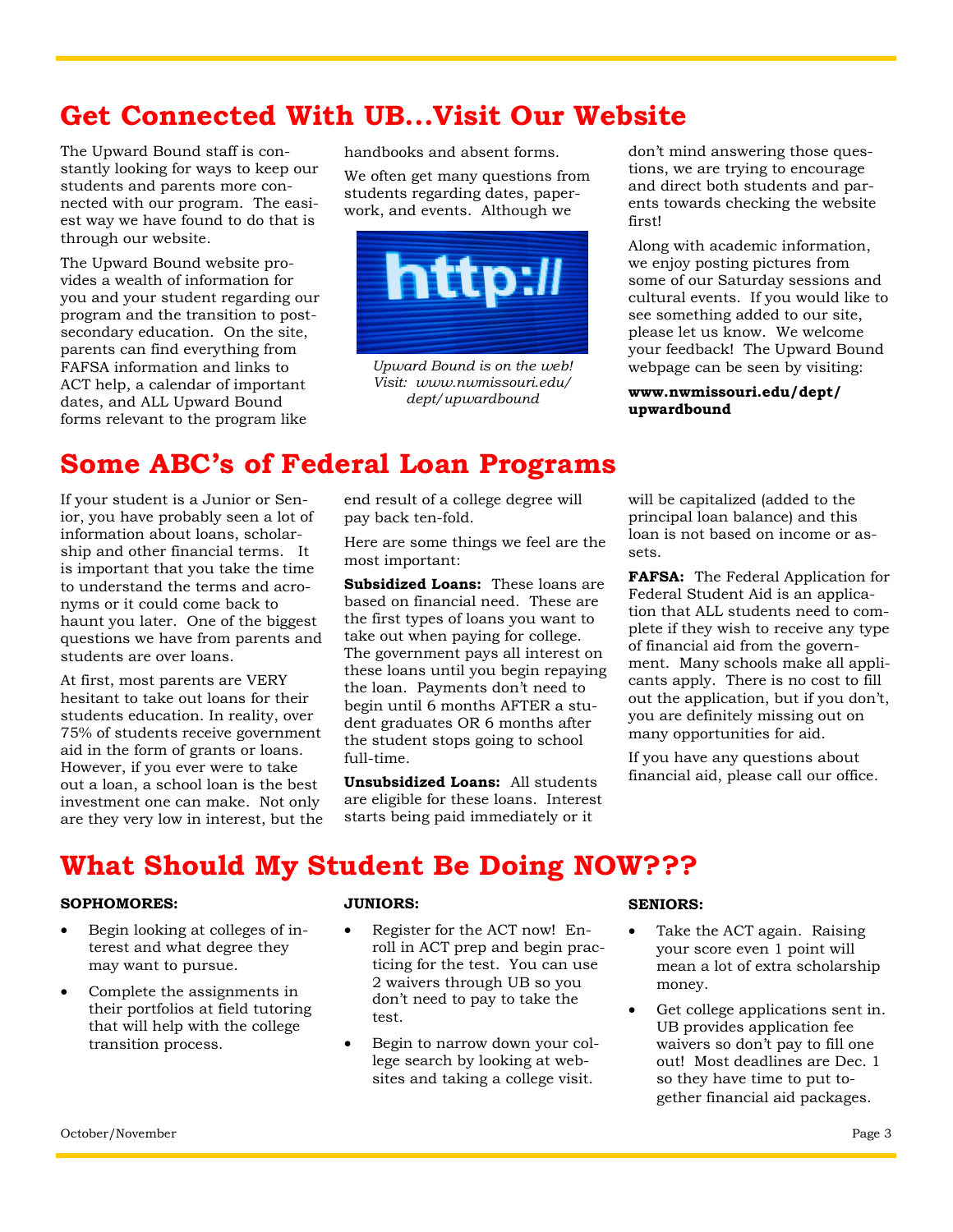## **Get Connected With UB...Visit Our Website**

The Upward Bound staff is constantly looking for ways to keep our students and parents more connected with our program. The easiest way we have found to do that is through our website.

The Upward Bound website provides a wealth of information for you and your student regarding our program and the transition to postsecondary education. On the site, parents can find everything from FAFSA information and links to ACT help, a calendar of important dates, and ALL Upward Bound forms relevant to the program like

handbooks and absent forms.

We often get many questions from students regarding dates, paperwork, and events. Although we



*Upward Bound is on the web! Visit: www.nwmissouri.edu/ dept/upwardbound*

don't mind answering those questions, we are trying to encourage and direct both students and parents towards checking the website first!

Along with academic information, we enjoy posting pictures from some of our Saturday sessions and cultural events. If you would like to see something added to our site, please let us know. We welcome your feedback! The Upward Bound webpage can be seen by visiting:

**www.nwmissouri.edu/dept/ upwardbound**

## **Some ABC's of Federal Loan Programs**

If your student is a Junior or Senior, you have probably seen a lot of information about loans, scholarship and other financial terms. It is important that you take the time to understand the terms and acronyms or it could come back to haunt you later. One of the biggest questions we have from parents and students are over loans.

At first, most parents are VERY hesitant to take out loans for their students education. In reality, over 75% of students receive government aid in the form of grants or loans. However, if you ever were to take out a loan, a school loan is the best investment one can make. Not only are they very low in interest, but the end result of a college degree will pay back ten-fold.

Here are some things we feel are the most important:

**Subsidized Loans:** These loans are based on financial need. These are the first types of loans you want to take out when paying for college. The government pays all interest on these loans until you begin repaying the loan. Payments don't need to begin until 6 months AFTER a student graduates OR 6 months after the student stops going to school full-time.

**Unsubsidized Loans:** All students are eligible for these loans. Interest starts being paid immediately or it

will be capitalized (added to the principal loan balance) and this loan is not based on income or assets.

**FAFSA:** The Federal Application for Federal Student Aid is an application that ALL students need to complete if they wish to receive any type of financial aid from the government. Many schools make all applicants apply. There is no cost to fill out the application, but if you don't, you are definitely missing out on many opportunities for aid.

If you have any questions about financial aid, please call our office.

# **What Should My Student Be Doing NOW???**

#### **SOPHOMORES:**

- Begin looking at colleges of interest and what degree they may want to pursue.
- Complete the assignments in their portfolios at field tutoring that will help with the college transition process.

#### **JUNIORS:**

- Register for the ACT now! Enroll in ACT prep and begin practicing for the test. You can use 2 waivers through UB so you don't need to pay to take the test.
- Begin to narrow down your college search by looking at websites and taking a college visit.

#### **SENIORS:**

- Take the ACT again. Raising your score even 1 point will mean a lot of extra scholarship money.
- Get college applications sent in. UB provides application fee waivers so don't pay to fill one out! Most deadlines are Dec. 1 so they have time to put together financial aid packages.